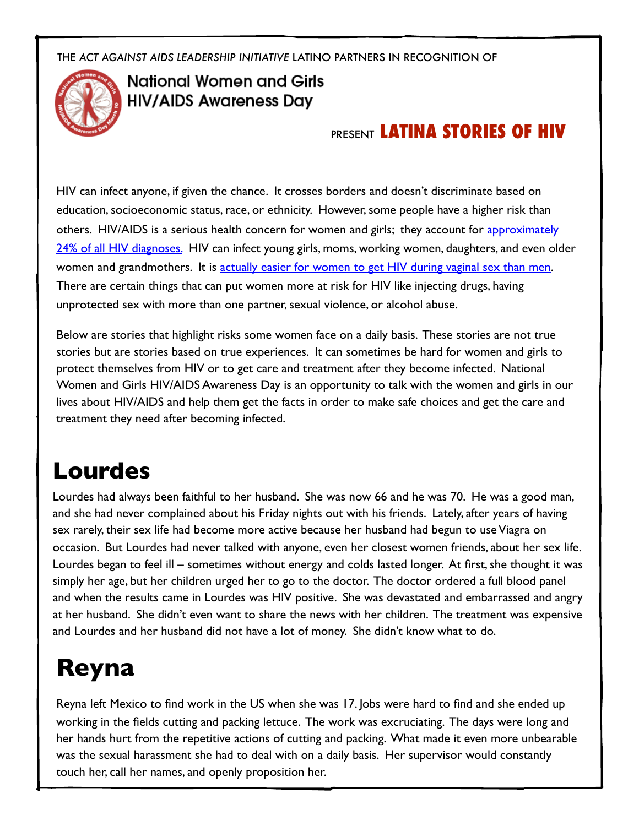THE *ACT AGAINST AIDS LEADERSHIP INITIATIVE* LATINO PARTNERS IN RECOGNITION OF



#### **National Women and Girls HIV/AIDS Awareness Day**

### PRESENT **LATINA STORIES OF HIV**

HIV can infect anyone, if given the chance. It crosses borders and doesn't discriminate based on education, socioeconomic status, race, or ethnicity. However, some people have a higher risk than others. HIV/AIDS is a serious health concern for women and girls; they account for approximately [24% of all HIV diagnoses.](http://www.womenshealth.gov/nwghaad/activity-planning/materials/nwghaad-fact-sheet.pdf) HIV can infect young girls, moms, working women, daughters, and even older women and grandmothers. It is actuall[y easier for women to get HIV during vaginal sex than men.](http://www.womenshealth.gov/hiv-aids/women-are-at-risk-of-hiv/women-who-have-sex-can-get-hiv.html) There are certain things that can put women more at risk for HIV like injecting drugs, having unprotected sex with more than one partner, sexual violence, or alcohol abuse.

Below are stories that highlight risks some women face on a daily basis. These stories are not true stories but are stories based on true experiences. It can sometimes be hard for women and girls to protect themselves from HIV or to get care and treatment after they become infected. National Women and Girls HIV/AIDS Awareness Day is an opportunity to talk with the women and girls in our lives about HIV/AIDS and help them get the facts in order to make safe choices and get the care and treatment they need after becoming infected.

## **Lourdes**

Lourdes had always been faithful to her husband. She was now 66 and he was 70. He was a good man, and she had never complained about his Friday nights out with his friends. Lately, after years of having sex rarely, their sex life had become more active because her husband had begun to use Viagra on occasion. But Lourdes had never talked with anyone, even her closest women friends, about her sex life. Lourdes began to feel ill – sometimes without energy and colds lasted longer. At first, she thought it was simply her age, but her children urged her to go to the doctor. The doctor ordered a full blood panel and when the results came in Lourdes was HIV positive. She was devastated and embarrassed and angry at her husband. She didn't even want to share the news with her children. The treatment was expensive and Lourdes and her husband did not have a lot of money. She didn't know what to do.

# **Reyna**

Reyna left Mexico to find work in the US when she was 17. Jobs were hard to find and she ended up working in the fields cutting and packing lettuce. The work was excruciating. The days were long and her hands hurt from the repetitive actions of cutting and packing. What made it even more unbearable was the sexual harassment she had to deal with on a daily basis. Her supervisor would constantly touch her, call her names, and openly proposition her.